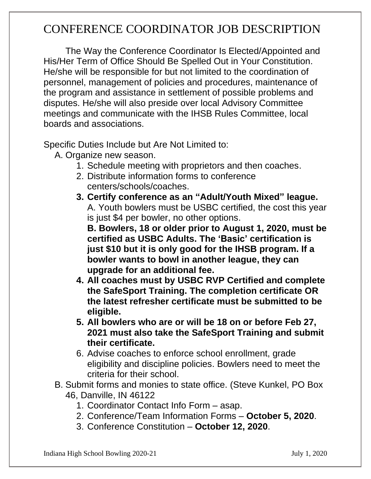## CONFERENCE COORDINATOR JOB DESCRIPTION

The Way the Conference Coordinator Is Elected/Appointed and His/Her Term of Office Should Be Spelled Out in Your Constitution. He/she will be responsible for but not limited to the coordination of personnel, management of policies and procedures, maintenance of the program and assistance in settlement of possible problems and disputes. He/she will also preside over local Advisory Committee meetings and communicate with the IHSB Rules Committee, local boards and associations.

Specific Duties Include but Are Not Limited to:

- A. Organize new season.
	- 1. Schedule meeting with proprietors and then coaches.
	- 2. Distribute information forms to conference centers/schools/coaches.
	- **3. Certify conference as an "Adult/Youth Mixed" league.**  A. Youth bowlers must be USBC certified, the cost this year is just \$4 per bowler, no other options.

**B. Bowlers, 18 or older prior to August 1, 2020, must be certified as USBC Adults. The 'Basic' certification is just \$10 but it is only good for the IHSB program. If a bowler wants to bowl in another league, they can upgrade for an additional fee.** 

- **4. All coaches must by USBC RVP Certified and complete the SafeSport Training. The completion certificate OR the latest refresher certificate must be submitted to be eligible.**
- **5. All bowlers who are or will be 18 on or before Feb 27, 2021 must also take the SafeSport Training and submit their certificate.**
- 6. Advise coaches to enforce school enrollment, grade eligibility and discipline policies. Bowlers need to meet the criteria for their school.
- B. Submit forms and monies to state office. (Steve Kunkel, PO Box 46, Danville, IN 46122
	- 1. Coordinator Contact Info Form asap.
	- 2. Conference/Team Information Forms **October 5, 2020**.
	- 3. Conference Constitution **October 12, 2020**.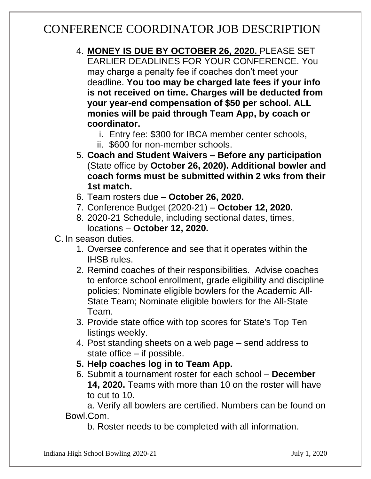## CONFERENCE COORDINATOR JOB DESCRIPTION

- 4. **MONEY IS DUE BY OCTOBER 26, 2020.** PLEASE SET EARLIER DEADLINES FOR YOUR CONFERENCE. You may charge a penalty fee if coaches don't meet your deadline. **You too may be charged late fees if your info is not received on time. Charges will be deducted from your year-end compensation of \$50 per school. ALL monies will be paid through Team App, by coach or coordinator.** 
	- i. Entry fee: \$300 for IBCA member center schools,
	- ii. \$600 for non-member schools.
- 5. **Coach and Student Waivers – Before any participation** (State office by **October 26, 2020). Additional bowler and coach forms must be submitted within 2 wks from their 1st match.**
- 6. Team rosters due **October 26, 2020.**
- 7. Conference Budget (2020-21) **October 12, 2020.**
- 8. 2020-21 Schedule, including sectional dates, times, locations – **October 12, 2020.**
- C. In season duties.
	- 1. Oversee conference and see that it operates within the IHSB rules.
	- 2. Remind coaches of their responsibilities. Advise coaches to enforce school enrollment, grade eligibility and discipline policies; Nominate eligible bowlers for the Academic All-State Team; Nominate eligible bowlers for the All-State Team.
	- 3. Provide state office with top scores for State's Top Ten listings weekly.
	- 4. Post standing sheets on a web page send address to state office – if possible.
	- **5. Help coaches log in to Team App.**
	- 6. Submit a tournament roster for each school **December 14, 2020.** Teams with more than 10 on the roster will have to cut to 10.

a. Verify all bowlers are certified. Numbers can be found on Bowl.Com.

b. Roster needs to be completed with all information.